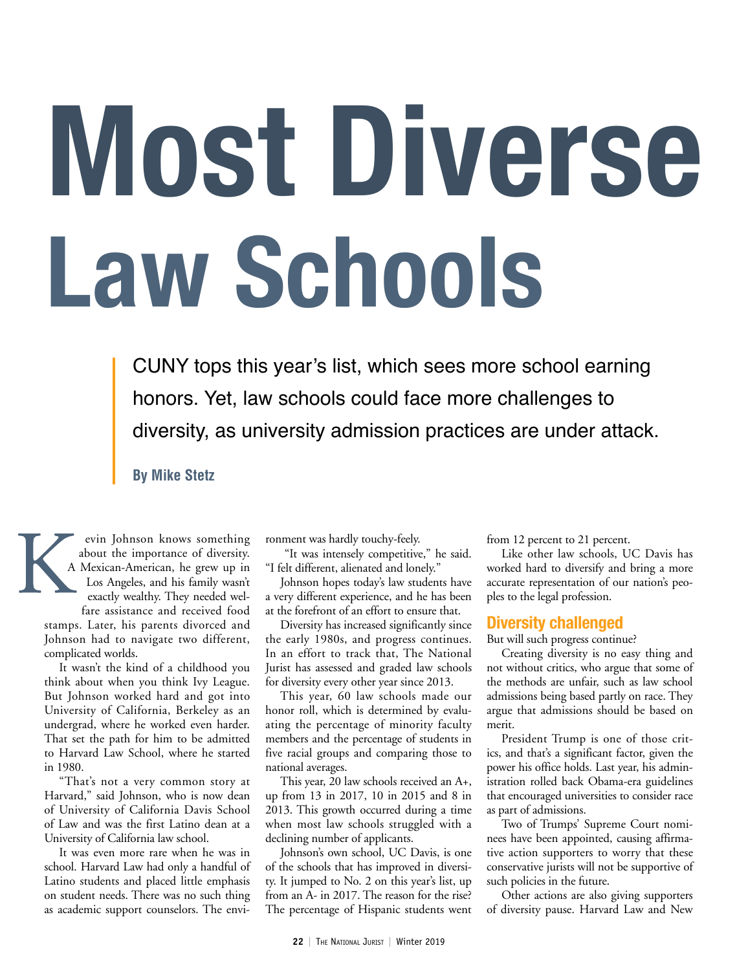# **Most Diverse Law Schools**

CUNY tops this year's list, which sees more school earning honors. Yet, law schools could face more challenges to diversity, as university admission practices are under attack.

**By Mike Stetz**

evin Johnson knows something about the importance of diversity. A Mexican-American, he grew up in Los Angeles, and his family wasn't exactly wealthy. They needed welfare assistance and received food

stamps. Later, his parents divorced and Johnson had to navigate two different, complicated worlds.

It wasn't the kind of a childhood you think about when you think Ivy League. But Johnson worked hard and got into University of California, Berkeley as an undergrad, where he worked even harder. That set the path for him to be admitted to Harvard Law School, where he started in 1980.

"That's not a very common story at Harvard," said Johnson, who is now dean of University of California Davis School of Law and was the first Latino dean at a University of California law school.

It was even more rare when he was in school. Harvard Law had only a handful of Latino students and placed little emphasis on student needs. There was no such thing as academic support counselors. The environment was hardly touchy-feely.

 "It was intensely competitive," he said. "I felt different, alienated and lonely."

Johnson hopes today's law students have a very different experience, and he has been at the forefront of an effort to ensure that.

Diversity has increased significantly since the early 1980s, and progress continues. In an effort to track that, The National Jurist has assessed and graded law schools for diversity every other year since 2013.

This year, 60 law schools made our honor roll, which is determined by evaluating the percentage of minority faculty members and the percentage of students in five racial groups and comparing those to national averages.

This year, 20 law schools received an A+, up from 13 in 2017, 10 in 2015 and 8 in 2013. This growth occurred during a time when most law schools struggled with a declining number of applicants.

Johnson's own school, UC Davis, is one of the schools that has improved in diversity. It jumped to No. 2 on this year's list, up from an A- in 2017. The reason for the rise? The percentage of Hispanic students went from 12 percent to 21 percent.

Like other law schools, UC Davis has worked hard to diversify and bring a more accurate representation of our nation's peoples to the legal profession.

### **Diversity challenged**

But will such progress continue?

Creating diversity is no easy thing and not without critics, who argue that some of the methods are unfair, such as law school admissions being based partly on race. They argue that admissions should be based on merit.

President Trump is one of those critics, and that's a significant factor, given the power his office holds. Last year, his administration rolled back Obama-era guidelines that encouraged universities to consider race as part of admissions.

Two of Trumps' Supreme Court nominees have been appointed, causing affirmative action supporters to worry that these conservative jurists will not be supportive of such policies in the future.

Other actions are also giving supporters of diversity pause. Harvard Law and New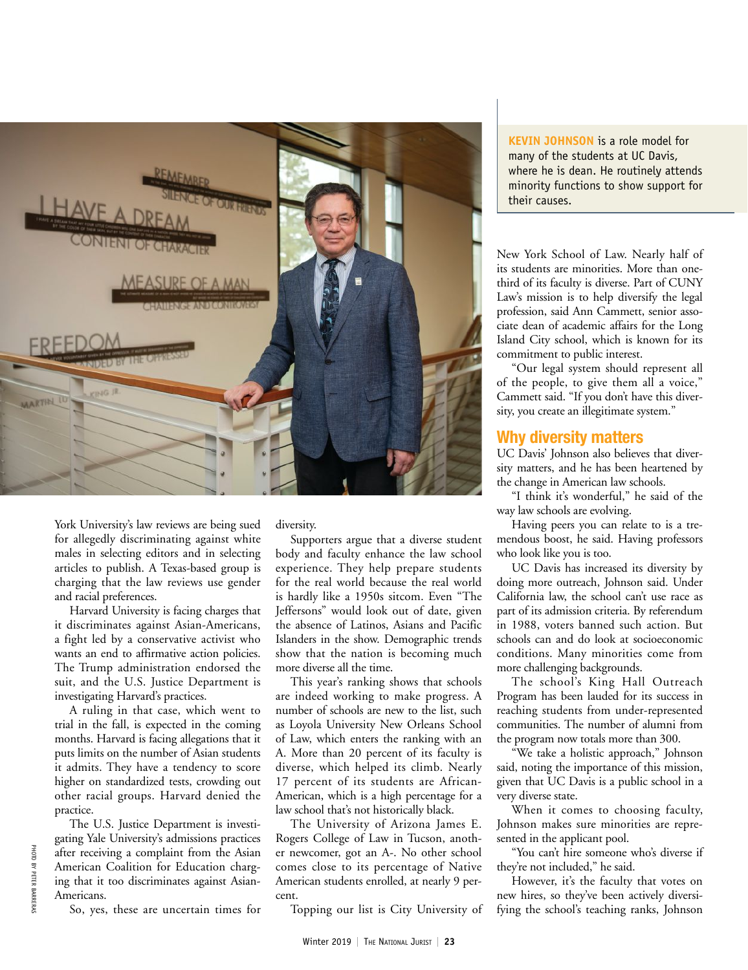

York University's law reviews are being sued for allegedly discriminating against white males in selecting editors and in selecting articles to publish. A Texas-based group is charging that the law reviews use gender and racial preferences.

Harvard University is facing charges that it discriminates against Asian-Americans, a fight led by a conservative activist who wants an end to affirmative action policies. The Trump administration endorsed the suit, and the U.S. Justice Department is investigating Harvard's practices.

A ruling in that case, which went to trial in the fall, is expected in the coming months. Harvard is facing allegations that it puts limits on the number of Asian students it admits. They have a tendency to score higher on standardized tests, crowding out other racial groups. Harvard denied the practice.

The U.S. Justice Department is investigating Yale University's admissions practices after receiving a complaint from the Asian American Coalition for Education charging that it too discriminates against Asian-Americans.

So, yes, these are uncertain times for

diversity.

Supporters argue that a diverse student body and faculty enhance the law school experience. They help prepare students for the real world because the real world is hardly like a 1950s sitcom. Even "The Jeffersons" would look out of date, given the absence of Latinos, Asians and Pacific Islanders in the show. Demographic trends show that the nation is becoming much more diverse all the time.

This year's ranking shows that schools are indeed working to make progress. A number of schools are new to the list, such as Loyola University New Orleans School of Law, which enters the ranking with an A. More than 20 percent of its faculty is diverse, which helped its climb. Nearly 17 percent of its students are African-American, which is a high percentage for a law school that's not historically black.

The University of Arizona James E. Rogers College of Law in Tucson, another newcomer, got an A-. No other school comes close to its percentage of Native American students enrolled, at nearly 9 percent.

Topping our list is City University of

**KEVIN JOHNSON** is a role model for many of the students at UC Davis, where he is dean. He routinely attends minority functions to show support for their causes.

New York School of Law. Nearly half of its students are minorities. More than onethird of its faculty is diverse. Part of CUNY Law's mission is to help diversify the legal profession, said Ann Cammett, senior associate dean of academic affairs for the Long Island City school, which is known for its commitment to public interest.

"Our legal system should represent all of the people, to give them all a voice," Cammett said. "If you don't have this diversity, you create an illegitimate system."

### **Why diversity matters**

UC Davis' Johnson also believes that diversity matters, and he has been heartened by the change in American law schools.

"I think it's wonderful," he said of the way law schools are evolving.

Having peers you can relate to is a tremendous boost, he said. Having professors who look like you is too.

UC Davis has increased its diversity by doing more outreach, Johnson said. Under California law, the school can't use race as part of its admission criteria. By referendum in 1988, voters banned such action. But schools can and do look at socioeconomic conditions. Many minorities come from more challenging backgrounds.

The school's King Hall Outreach Program has been lauded for its success in reaching students from under-represented communities. The number of alumni from the program now totals more than 300.

"We take a holistic approach," Johnson said, noting the importance of this mission, given that UC Davis is a public school in a very diverse state.

When it comes to choosing faculty, Johnson makes sure minorities are represented in the applicant pool.

"You can't hire someone who's diverse if they're not included," he said.

However, it's the faculty that votes on new hires, so they've been actively diversifying the school's teaching ranks, Johnson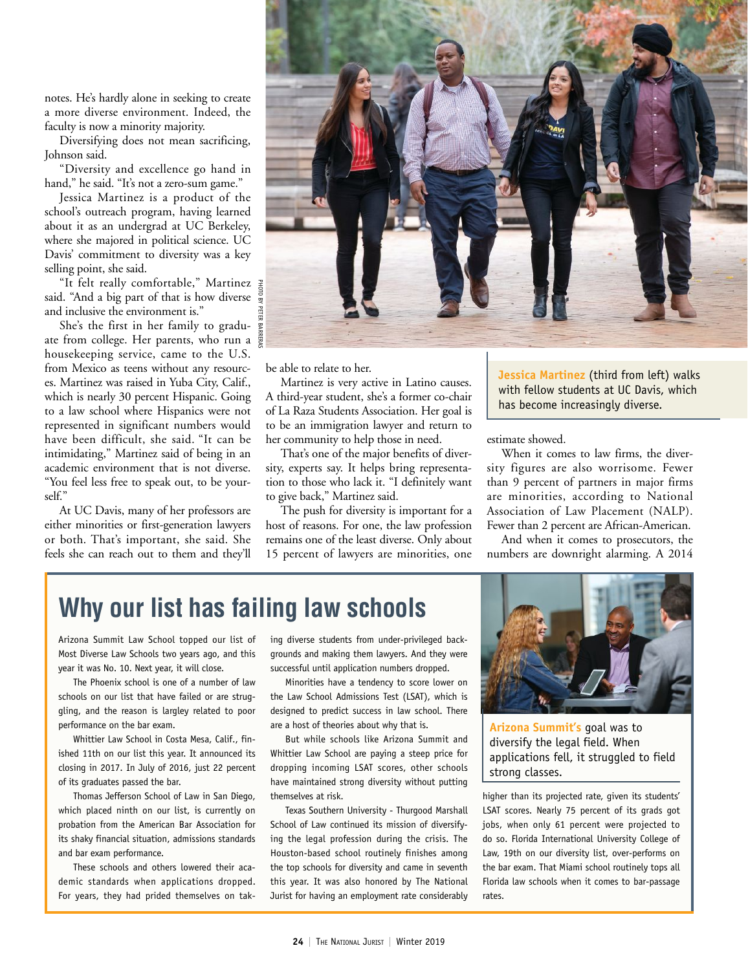notes. He's hardly alone in seeking to create a more diverse environment. Indeed, the faculty is now a minority majority.

Diversifying does not mean sacrificing, Johnson said.

"Diversity and excellence go hand in hand," he said. "It's not a zero-sum game."

Jessica Martinez is a product of the school's outreach program, having learned about it as an undergrad at UC Berkeley, where she majored in political science. UC Davis' commitment to diversity was a key selling point, she said.

"It felt really comfortable," Martinez said. "And a big part of that is how diverse and inclusive the environment is."

She's the first in her family to graduate from college. Her parents, who run a housekeeping service, came to the U.S. from Mexico as teens without any resources. Martinez was raised in Yuba City, Calif., which is nearly 30 percent Hispanic. Going to a law school where Hispanics were not represented in significant numbers would have been difficult, she said. "It can be intimidating," Martinez said of being in an academic environment that is not diverse. "You feel less free to speak out, to be yourself."

At UC Davis, many of her professors are either minorities or first-generation lawyers or both. That's important, she said. She feels she can reach out to them and they'll



be able to relate to her.

Martinez is very active in Latino causes. A third-year student, she's a former co-chair of La Raza Students Association. Her goal is to be an immigration lawyer and return to her community to help those in need.

That's one of the major benefits of diversity, experts say. It helps bring representation to those who lack it. "I definitely want to give back," Martinez said.

The push for diversity is important for a host of reasons. For one, the law profession remains one of the least diverse. Only about 15 percent of lawyers are minorities, one **Jessica Martinez** (third from left) walks with fellow students at UC Davis, which has become increasingly diverse.

estimate showed.

When it comes to law firms, the diversity figures are also worrisome. Fewer than 9 percent of partners in major firms are minorities, according to National Association of Law Placement (NALP). Fewer than 2 percent are African-American.

And when it comes to prosecutors, the numbers are downright alarming. A 2014

# **Why our list has failing law schools**

Arizona Summit Law School topped our list of Most Diverse Law Schools two years ago, and this year it was No. 10. Next year, it will close.

The Phoenix school is one of a number of law schools on our list that have failed or are struggling, and the reason is largley related to poor performance on the bar exam.

Whittier Law School in Costa Mesa, Calif., finished 11th on our list this year. It announced its closing in 2017. In July of 2016, just 22 percent of its graduates passed the bar.

Thomas Jefferson School of Law in San Diego, which placed ninth on our list, is currently on probation from the American Bar Association for its shaky financial situation, admissions standards and bar exam performance.

These schools and others lowered their academic standards when applications dropped. For years, they had prided themselves on taking diverse students from under-privileged backgrounds and making them lawyers. And they were successful until application numbers dropped.

Minorities have a tendency to score lower on the Law School Admissions Test (LSAT), which is designed to predict success in law school. There are a host of theories about why that is.

But while schools like Arizona Summit and Whittier Law School are paying a steep price for dropping incoming LSAT scores, other schools have maintained strong diversity without putting themselves at risk.

Texas Southern University - Thurgood Marshall School of Law continued its mission of diversifying the legal profession during the crisis. The Houston-based school routinely finishes among the top schools for diversity and came in seventh this year. It was also honored by The National Jurist for having an employment rate considerably



**Arizona Summit's** goal was to diversify the legal field. When applications fell, it struggled to field strong classes.

higher than its projected rate, given its students' LSAT scores. Nearly 75 percent of its grads got jobs, when only 61 percent were projected to do so. Florida International University College of Law, 19th on our diversity list, over-performs on the bar exam. That Miami school routinely tops all Florida law schools when it comes to bar-passage rates.